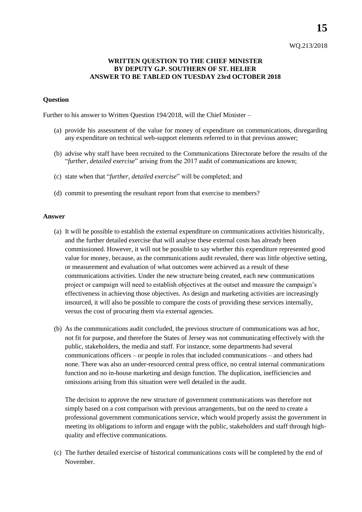## WQ.213/2018

## **WRITTEN QUESTION TO THE CHIEF MINISTER BY DEPUTY G.P. SOUTHERN OF ST. HELIER ANSWER TO BE TABLED ON TUESDAY 23rd OCTOBER 2018**

## **Question**

Further to his answer to Written Question 194/2018, will the Chief Minister –

- (a) provide his assessment of the value for money of expenditure on communications, disregarding any expenditure on technical web-support elements referred to in that previous answer;
- (b) advise why staff have been recruited to the Communications Directorate before the results of the "*further, detailed exercise*" arising from the 2017 audit of communications are known;
- (c) state when that "*further, detailed exercise*" will be completed; and
- (d) commit to presenting the resultant report from that exercise to members?

## **Answer**

- (a) It will be possible to establish the external expenditure on communications activities historically, and the further detailed exercise that will analyse these external costs has already been commissioned. However, it will not be possible to say whether this expenditure represented good value for money, because, as the communications audit revealed, there was little objective setting, or measurement and evaluation of what outcomes were achieved as a result of these communications activities. Under the new structure being created, each new communications project or campaign will need to establish objectives at the outset and measure the campaign's effectiveness in achieving those objectives. As design and marketing activities are increasingly insourced, it will also be possible to compare the costs of providing these services internally, versus the cost of procuring them via external agencies.
- (b) As the communications audit concluded, the previous structure of communications was ad hoc, not fit for purpose, and therefore the States of Jersey was not communicating effectively with the public, stakeholders, the media and staff. For instance, some departments had several communications officers – or people in roles that included communications – and others had none. There was also an under-resourced central press office, no central internal communications function and no in-house marketing and design function. The duplication, inefficiencies and omissions arising from this situation were well detailed in the audit.

The decision to approve the new structure of government communications was therefore not simply based on a cost comparison with previous arrangements, but on the need to create a professional government communications service, which would properly assist the government in meeting its obligations to inform and engage with the public, stakeholders and staff through highquality and effective communications.

(c) The further detailed exercise of historical communications costs will be completed by the end of November.